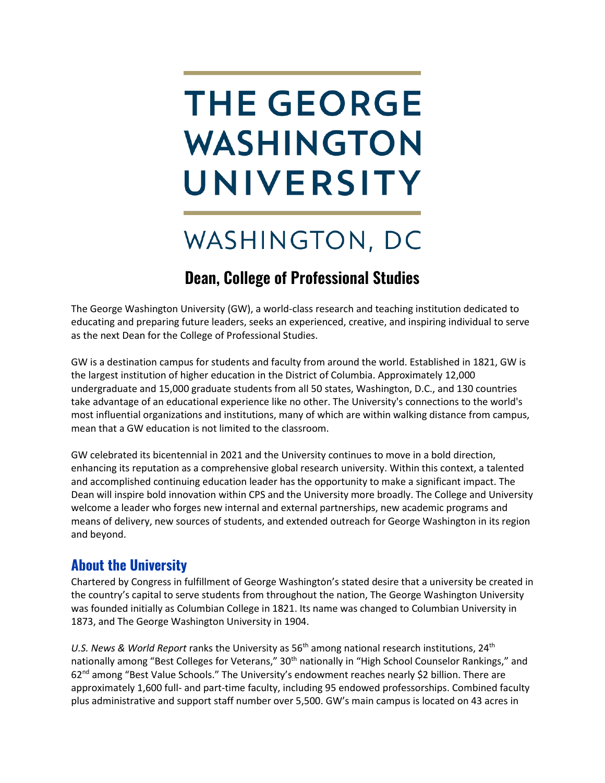# **THE GEORGE** WASHINGTON UNIVERSITY

## WASHINGTON, DC

## **Dean, College of Professional Studies**

The George Washington University (GW), a world-class research and teaching institution dedicated to educating and preparing future leaders, seeks an experienced, creative, and inspiring individual to serve as the next Dean for the College of Professional Studies.

GW is a destination campus for students and faculty from around the world. Established in 1821, GW is the largest institution of higher education in the District of Columbia. Approximately 12,000 undergraduate and 15,000 graduate students from all 50 states, Washington, D.C., and 130 countries take advantage of an educational experience like no other. The University's connections to the world's most influential organizations and institutions, many of which are within walking distance from campus, mean that a GW education is not limited to the classroom.

GW celebrated its bicentennial in 2021 and the University continues to move in a bold direction, enhancing its reputation as a comprehensive global research university. Within this context, a talented and accomplished continuing education leader has the opportunity to make a significant impact. The Dean will inspire bold innovation within CPS and the University more broadly. The College and University welcome a leader who forges new internal and external partnerships, new academic programs and means of delivery, new sources of students, and extended outreach for George Washington in its region and beyond.

## **About the University**

Chartered by Congress in fulfillment of George Washington's stated desire that a university be created in the country's capital to serve students from throughout the nation, The George Washington University was founded initially as Columbian College in 1821. Its name was changed to Columbian University in 1873, and The George Washington University in 1904.

U.S. News & World Report ranks the University as 56<sup>th</sup> among national research institutions, 24<sup>th</sup> nationally among "Best Colleges for Veterans," 30<sup>th</sup> nationally in "High School Counselor Rankings," and 62nd among "Best Value Schools." The University's endowment reaches nearly \$2 billion. There are approximately 1,600 full- and part-time faculty, including 95 endowed professorships. Combined faculty plus administrative and support staff number over 5,500. GW's main campus is located on 43 acres in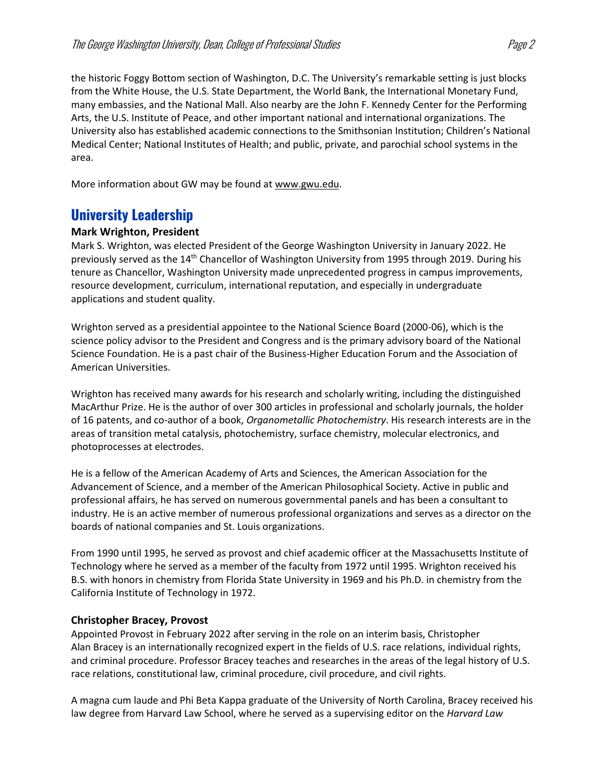the historic Foggy Bottom section of Washington, D.C. The University's remarkable setting is just blocks from the White House, the U.S. State Department, the World Bank, the International Monetary Fund, many embassies, and the National Mall. Also nearby are the John F. Kennedy Center for the Performing Arts, the U.S. Institute of Peace, and other important national and international organizations. The University also has established academic connections to the Smithsonian Institution; Children's National Medical Center; National Institutes of Health; and public, private, and parochial school systems in the area.

More information about GW may be found at [www.gwu.edu.](https://www.gwu.edu/)

## **University Leadership**

#### **Mark Wrighton, President**

Mark S. Wrighton, was elected President of the George Washington University in January 2022. He previously served as the 14th Chancellor of Washington University from 1995 through 2019. During his tenure as Chancellor, Washington University made unprecedented progress in campus improvements, resource development, curriculum, international reputation, and especially in undergraduate applications and student quality.

Wrighton served as a presidential appointee to the National Science Board (2000-06), which is the science policy advisor to the President and Congress and is the primary advisory board of the National Science Foundation. He is a past chair of the Business-Higher Education Forum and the Association of American Universities.

Wrighton has received many awards for his research and scholarly writing, including the distinguished MacArthur Prize. He is the author of over 300 articles in professional and scholarly journals, the holder of 16 patents, and co-author of a book, *Organometallic Photochemistry*. His research interests are in the areas of transition metal catalysis, photochemistry, surface chemistry, molecular electronics, and photoprocesses at electrodes.

He is a fellow of the American Academy of Arts and Sciences, the American Association for the Advancement of Science, and a member of the American Philosophical Society. Active in public and professional affairs, he has served on numerous governmental panels and has been a consultant to industry. He is an active member of numerous professional organizations and serves as a director on the boards of national companies and St. Louis organizations.

From 1990 until 1995, he served as provost and chief academic officer at the Massachusetts Institute of Technology where he served as a member of the faculty from 1972 until 1995. Wrighton received his B.S. with honors in chemistry from Florida State University in 1969 and his Ph.D. in chemistry from the California Institute of Technology in 1972.

#### **Christopher Bracey, Provost**

Appointed Provost in February 2022 after serving in the role on an interim basis, Christopher Alan Bracey is an internationally recognized expert in the fields of U.S. race relations, individual rights, and criminal procedure. Professor Bracey teaches and researches in the areas of the legal history of U.S. race relations, constitutional law, criminal procedure, civil procedure, and civil rights.

A magna cum laude and Phi Beta Kappa graduate of the University of North Carolina, Bracey received his law degree from Harvard Law School, where he served as a supervising editor on the *Harvard Law*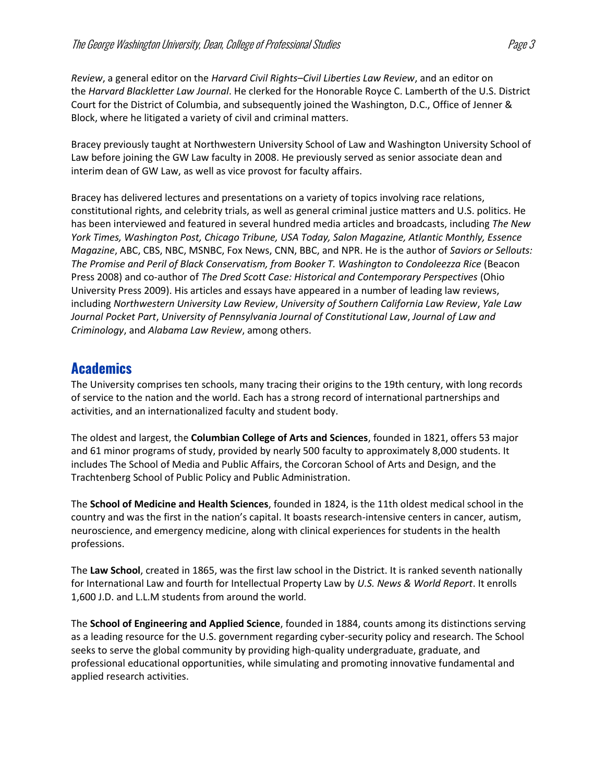*Review*, a general editor on the *Harvard Civil Rights–Civil Liberties Law Review*, and an editor on the *Harvard Blackletter Law Journal*. He clerked for the Honorable Royce C. Lamberth of the U.S. District Court for the District of Columbia, and subsequently joined the Washington, D.C., Office of Jenner & Block, where he litigated a variety of civil and criminal matters.

Bracey previously taught at Northwestern University School of Law and Washington University School of Law before joining the GW Law faculty in 2008. He previously served as senior associate dean and interim dean of GW Law, as well as vice provost for faculty affairs.

Bracey has delivered lectures and presentations on a variety of topics involving race relations, constitutional rights, and celebrity trials, as well as general criminal justice matters and U.S. politics. He has been interviewed and featured in several hundred media articles and broadcasts, including *The New York Times, Washington Post, Chicago Tribune, USA Today, Salon Magazine, Atlantic Monthly, Essence Magazine*, ABC, CBS, NBC, MSNBC, Fox News, CNN, BBC, and NPR. He is the author of *Saviors or Sellouts: The Promise and Peril of Black Conservatism, from Booker T. Washington to Condoleezza Rice* (Beacon Press 2008) and co-author of *The Dred Scott Case: Historical and Contemporary Perspectives* (Ohio University Press 2009). His articles and essays have appeared in a number of leading law reviews, including *Northwestern University Law Review*, *University of Southern California Law Review*, *Yale Law Journal Pocket Part*, *University of Pennsylvania Journal of Constitutional Law*, *Journal of Law and Criminology*, and *Alabama Law Review*, among others.

## **Academics**

The University comprises ten schools, many tracing their origins to the 19th century, with long records of service to the nation and the world. Each has a strong record of international partnerships and activities, and an internationalized faculty and student body.

The oldest and largest, the **Columbian College of Arts and Sciences**, founded in 1821, offers 53 major and 61 minor programs of study, provided by nearly 500 faculty to approximately 8,000 students. It includes The School of Media and Public Affairs, the Corcoran School of Arts and Design, and the Trachtenberg School of Public Policy and Public Administration.

The **School of Medicine and Health Sciences**, founded in 1824, is the 11th oldest medical school in the country and was the first in the nation's capital. It boasts research-intensive centers in cancer, autism, neuroscience, and emergency medicine, along with clinical experiences for students in the health professions.

The **Law School**, created in 1865, was the first law school in the District. It is ranked seventh nationally for International Law and fourth for Intellectual Property Law by *U.S. News & World Report*. It enrolls 1,600 J.D. and L.L.M students from around the world.

The **School of Engineering and Applied Science**, founded in 1884, counts among its distinctions serving as a leading resource for the U.S. government regarding cyber-security policy and research. The School seeks to serve the global community by providing high-quality undergraduate, graduate, and professional educational opportunities, while simulating and promoting innovative fundamental and applied research activities.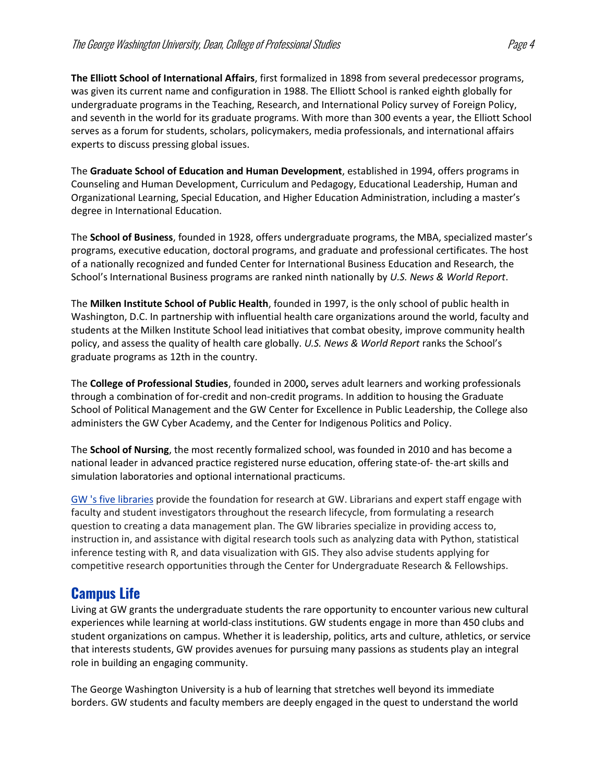**The Elliott School of International Affairs**, first formalized in 1898 from several predecessor programs, was given its current name and configuration in 1988. The Elliott School is ranked eighth globally for undergraduate programs in the Teaching, Research, and International Policy survey of Foreign Policy, and seventh in the world for its graduate programs. With more than 300 events a year, the Elliott School serves as a forum for students, scholars, policymakers, media professionals, and international affairs experts to discuss pressing global issues.

The **Graduate School of Education and Human Development**, established in 1994, offers programs in Counseling and Human Development, Curriculum and Pedagogy, Educational Leadership, Human and Organizational Learning, Special Education, and Higher Education Administration, including a master's degree in International Education.

The **School of Business**, founded in 1928, offers undergraduate programs, the MBA, specialized master's programs, executive education, doctoral programs, and graduate and professional certificates. The host of a nationally recognized and funded Center for International Business Education and Research, the School's International Business programs are ranked ninth nationally by *U.S. News & World Report*.

The **Milken Institute School of Public Health**, founded in 1997, is the only school of public health in Washington, D.C. In partnership with influential health care organizations around the world, faculty and students at the Milken Institute School lead initiatives that combat obesity, improve community health policy, and assess the quality of health care globally. *U.S. News & World Report* ranks the School's graduate programs as 12th in the country.

The **College of Professional Studies**, founded in 2000**,** serves adult learners and working professionals through a combination of for-credit and non-credit programs. In addition to housing the Graduate School of Political Management and the GW Center for Excellence in Public Leadership, the College also administers the GW Cyber Academy, and the Center for Indigenous Politics and Policy.

The **School of Nursing**, the most recently formalized school, was founded in 2010 and has become a national leader in advanced practice registered nurse education, offering state-of- the-art skills and simulation laboratories and optional international practicums.

[GW 's five libraries](https://library.gwu.edu/) provide the foundation for research at GW. Librarians and expert staff engage with faculty and student investigators throughout the research lifecycle, from formulating a research question to creating a data management plan. The GW libraries specialize in providing access to, instruction in, and assistance with digital research tools such as analyzing data with Python, statistical inference testing with R, and data visualization with GIS. They also advise students applying for competitive research opportunities through the Center for Undergraduate Research & Fellowships.

## **Campus Life**

Living at GW grants the undergraduate students the rare opportunity to encounter various new cultural experiences while learning at world-class institutions. GW students engage in more than 450 clubs and student organizations on campus. Whether it is leadership, politics, arts and culture, athletics, or service that interests students, GW provides avenues for pursuing many passions as students play an integral role in building an engaging community.

The George Washington University is a hub of learning that stretches well beyond its immediate borders. GW students and faculty members are deeply engaged in the quest to understand the world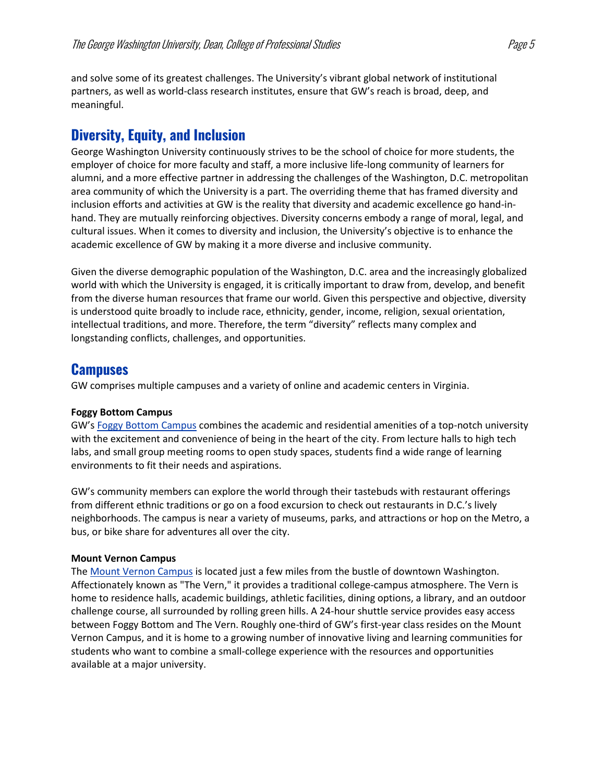and solve some of its greatest challenges. The University's vibrant global network of institutional partners, as well as world-class research institutes, ensure that GW's reach is broad, deep, and meaningful.

## **Diversity, Equity, and Inclusion**

George Washington University continuously strives to be the school of choice for more students, the employer of choice for more faculty and staff, a more inclusive life-long community of learners for alumni, and a more effective partner in addressing the challenges of the Washington, D.C. metropolitan area community of which the University is a part. The overriding theme that has framed diversity and inclusion efforts and activities at GW is the reality that diversity and academic excellence go hand-inhand. They are mutually reinforcing objectives. Diversity concerns embody a range of moral, legal, and cultural issues. When it comes to diversity and inclusion, the University's objective is to enhance the academic excellence of GW by making it a more diverse and inclusive community.

Given the diverse demographic population of the Washington, D.C. area and the increasingly globalized world with which the University is engaged, it is critically important to draw from, develop, and benefit from the diverse human resources that frame our world. Given this perspective and objective, diversity is understood quite broadly to include race, ethnicity, gender, income, religion, sexual orientation, intellectual traditions, and more. Therefore, the term "diversity" reflects many complex and longstanding conflicts, challenges, and opportunities.

## **Campuses**

GW comprises multiple campuses and a variety of online and academic centers in Virginia.

#### **Foggy Bottom Campus**

GW's **[Foggy Bottom Campus](https://www.gwu.edu/foggy-bottom-campus) combines the academic and residential amenities of a top-notch university** with the excitement and convenience of being in the heart of the city. From lecture halls to high tech labs, and small group meeting rooms to open study spaces, students find a wide range of learning environments to fit their needs and aspirations.

GW's community members can explore the world through their tastebuds with restaurant offerings from different ethnic traditions or go on a food excursion to check out restaurants in D.C.'s lively neighborhoods. The campus is near a variety of museums, parks, and attractions or hop on the Metro, a bus, or bike share for adventures all over the city.

#### **Mount Vernon Campus**

The [Mount Vernon Campus](https://www.gwu.edu/mount-vernon-campus) is located just a few miles from the bustle of downtown Washington. Affectionately known as "The Vern," it provides a traditional college-campus atmosphere. The Vern is home to residence halls, academic buildings, athletic facilities, dining options, a library, and an outdoor challenge course, all surrounded by rolling green hills. A 24-hour shuttle service provides easy access between Foggy Bottom and The Vern. Roughly one-third of GW's first-year class resides on the Mount Vernon Campus, and it is home to a growing number of innovative living and learning communities for students who want to combine a small-college experience with the resources and opportunities available at a major university.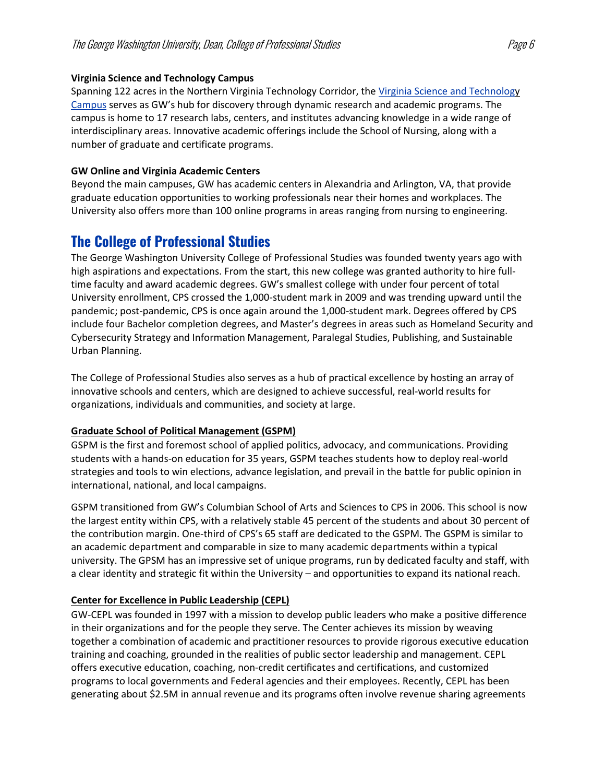#### **Virginia Science and Technology Campus**

Spanning 122 acres in the Northern Virginia Technology Corridor, the Virginia Science and Technology [Campus](https://www.gwu.edu/virginia-science-technology-campus) serves as GW's hub for discovery through dynamic research and academic programs. The campus is home to 17 research labs, centers, and institutes advancing knowledge in a wide range of interdisciplinary areas. Innovative academic offerings include the School of Nursing, along with a number of graduate and certificate programs.

#### **GW Online and Virginia Academic Centers**

Beyond the main campuses, GW has academic centers in Alexandria and Arlington, VA, that provide graduate education opportunities to working professionals near their homes and workplaces. The University also offers more than 100 online programs in areas ranging from nursing to engineering.

## **The College of Professional Studies**

The George Washington University College of Professional Studies was founded twenty years ago with high aspirations and expectations. From the start, this new college was granted authority to hire fulltime faculty and award academic degrees. GW's smallest college with under four percent of total University enrollment, CPS crossed the 1,000-student mark in 2009 and was trending upward until the pandemic; post-pandemic, CPS is once again around the 1,000-student mark. Degrees offered by CPS include four Bachelor completion degrees, and Master's degrees in areas such as Homeland Security and Cybersecurity Strategy and Information Management, Paralegal Studies, Publishing, and Sustainable Urban Planning.

The College of Professional Studies also serves as a hub of practical excellence by hosting an array of innovative schools and centers, which are designed to achieve successful, real-world results for organizations, individuals and communities, and society at large.

#### **[Graduate School of Political Management \(GSPM\)](https://gspm.gwu.edu/)**

GSPM is the first and foremost school of applied politics, advocacy, and communications. Providing students with a hands-on education for 35 years, GSPM teaches students how to deploy real-world strategies and tools to win elections, advance legislation, and prevail in the battle for public opinion in international, national, and local campaigns.

GSPM transitioned from GW's Columbian School of Arts and Sciences to CPS in 2006. This school is now the largest entity within CPS, with a relatively stable 45 percent of the students and about 30 percent of the contribution margin. One-third of CPS's 65 staff are dedicated to the GSPM. The GSPM is similar to an academic department and comparable in size to many academic departments within a typical university. The GPSM has an impressive set of unique programs, run by dedicated faculty and staff, with a clear identity and strategic fit within the University – and opportunities to expand its national reach.

#### **Center for [Excellence in Public Leadership \(CEPL\)](https://cepl.cps.gwu.edu/)**

GW-CEPL was founded in 1997 with a mission to develop public leaders who make a positive difference in their organizations and for the people they serve. The Center achieves its mission by weaving together a combination of academic and practitioner resources to provide rigorous executive education training and coaching, grounded in the realities of public sector leadership and management. CEPL offers executive education, coaching, non-credit certificates and certifications, and customized programs to local governments and Federal agencies and their employees. Recently, CEPL has been generating about \$2.5M in annual revenue and its programs often involve revenue sharing agreements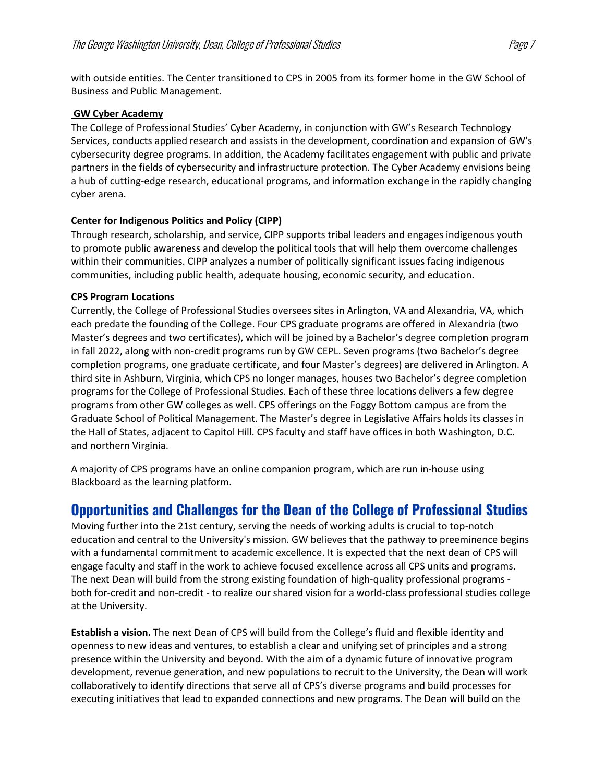with outside entities. The Center transitioned to CPS in 2005 from its former home in the GW School of Business and Public Management.

#### **[GW Cyber Academy](https://www.cps.gwu.edu/gw-cyber-academy)**

The College of Professional Studies' Cyber Academy, in conjunction with GW's Research Technology Services, conducts applied research and assists in the development, coordination and expansion of GW's cybersecurity degree programs. In addition, the Academy facilitates engagement with public and private partners in the fields of cybersecurity and infrastructure protection. The Cyber Academy envisions being a hub of cutting-edge research, educational programs, and information exchange in the rapidly changing cyber arena.

#### **[Center for Indigenous Politics and Policy \(CIPP\)](https://www.cps.gwu.edu/att-center-indigenous-politics-policy)**

Through research, scholarship, and service, CIPP supports tribal leaders and engages indigenous youth to promote public awareness and develop the political tools that will help them overcome challenges within their communities. CIPP analyzes a number of politically significant issues facing indigenous communities, including public health, adequate housing, economic security, and education.

#### **CPS Program Locations**

Currently, the College of Professional Studies oversees sites in Arlington, VA and Alexandria, VA, which each predate the founding of the College. Four CPS graduate programs are offered in Alexandria (two Master's degrees and two certificates), which will be joined by a Bachelor's degree completion program in fall 2022, along with non-credit programs run by GW CEPL. Seven programs (two Bachelor's degree completion programs, one graduate certificate, and four Master's degrees) are delivered in Arlington. A third site in Ashburn, Virginia, which CPS no longer manages, houses two Bachelor's degree completion programs for the College of Professional Studies. Each of these three locations delivers a few degree programs from other GW colleges as well. CPS offerings on the Foggy Bottom campus are from the Graduate School of Political Management. The Master's degree in Legislative Affairs holds its classes in the Hall of States, adjacent to Capitol Hill. CPS faculty and staff have offices in both Washington, D.C. and northern Virginia.

A majority of CPS programs have an online companion program, which are run in-house using Blackboard as the learning platform.

### **Opportunities and Challenges for the Dean of the College of Professional Studies**

Moving further into the 21st century, serving the needs of working adults is crucial to top-notch education and central to the University's mission. GW believes that the pathway to preeminence begins with a fundamental commitment to academic excellence. It is expected that the next dean of CPS will engage faculty and staff in the work to achieve focused excellence across all CPS units and programs. The next Dean will build from the strong existing foundation of high-quality professional programs both for-credit and non-credit - to realize our shared vision for a world-class professional studies college at the University.

**Establish a vision.** The next Dean of CPS will build from the College's fluid and flexible identity and openness to new ideas and ventures, to establish a clear and unifying set of principles and a strong presence within the University and beyond. With the aim of a dynamic future of innovative program development, revenue generation, and new populations to recruit to the University, the Dean will work collaboratively to identify directions that serve all of CPS's diverse programs and build processes for executing initiatives that lead to expanded connections and new programs. The Dean will build on the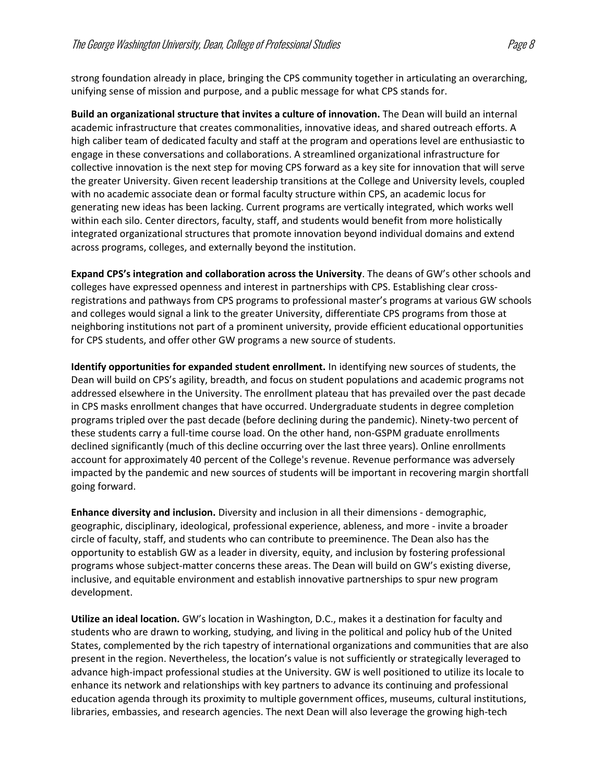strong foundation already in place, bringing the CPS community together in articulating an overarching, unifying sense of mission and purpose, and a public message for what CPS stands for.

**Build an organizational structure that invites a culture of innovation.** The Dean will build an internal academic infrastructure that creates commonalities, innovative ideas, and shared outreach efforts. A high caliber team of dedicated faculty and staff at the program and operations level are enthusiastic to engage in these conversations and collaborations. A streamlined organizational infrastructure for collective innovation is the next step for moving CPS forward as a key site for innovation that will serve the greater University. Given recent leadership transitions at the College and University levels, coupled with no academic associate dean or formal faculty structure within CPS, an academic locus for generating new ideas has been lacking. Current programs are vertically integrated, which works well within each silo. Center directors, faculty, staff, and students would benefit from more holistically integrated organizational structures that promote innovation beyond individual domains and extend across programs, colleges, and externally beyond the institution.

**Expand CPS's integration and collaboration across the University**. The deans of GW's other schools and colleges have expressed openness and interest in partnerships with CPS. Establishing clear crossregistrations and pathways from CPS programs to professional master's programs at various GW schools and colleges would signal a link to the greater University, differentiate CPS programs from those at neighboring institutions not part of a prominent university, provide efficient educational opportunities for CPS students, and offer other GW programs a new source of students.

**Identify opportunities for expanded student enrollment.** In identifying new sources of students, the Dean will build on CPS's agility, breadth, and focus on student populations and academic programs not addressed elsewhere in the University. The enrollment plateau that has prevailed over the past decade in CPS masks enrollment changes that have occurred. Undergraduate students in degree completion programs tripled over the past decade (before declining during the pandemic). Ninety-two percent of these students carry a full-time course load. On the other hand, non-GSPM graduate enrollments declined significantly (much of this decline occurring over the last three years). Online enrollments account for approximately 40 percent of the College's revenue. Revenue performance was adversely impacted by the pandemic and new sources of students will be important in recovering margin shortfall going forward.

**Enhance diversity and inclusion.** Diversity and inclusion in all their dimensions - demographic, geographic, disciplinary, ideological, professional experience, ableness, and more - invite a broader circle of faculty, staff, and students who can contribute to preeminence. The Dean also has the opportunity to establish GW as a leader in diversity, equity, and inclusion by fostering professional programs whose subject-matter concerns these areas. The Dean will build on GW's existing diverse, inclusive, and equitable environment and establish innovative partnerships to spur new program development.

**Utilize an ideal location.** GW's location in Washington, D.C., makes it a destination for faculty and students who are drawn to working, studying, and living in the political and policy hub of the United States, complemented by the rich tapestry of international organizations and communities that are also present in the region. Nevertheless, the location's value is not sufficiently or strategically leveraged to advance high-impact professional studies at the University. GW is well positioned to utilize its locale to enhance its network and relationships with key partners to advance its continuing and professional education agenda through its proximity to multiple government offices, museums, cultural institutions, libraries, embassies, and research agencies. The next Dean will also leverage the growing high-tech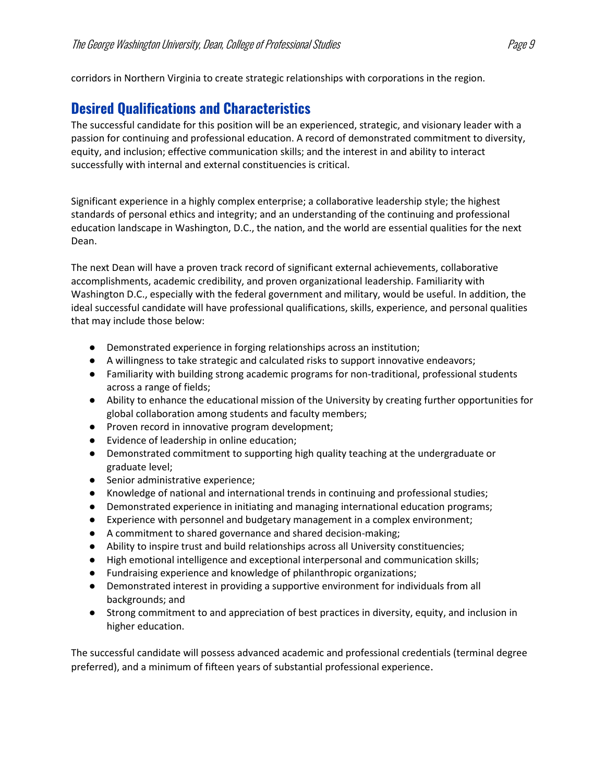corridors in Northern Virginia to create strategic relationships with corporations in the region.

## **Desired Qualifications and Characteristics**

The successful candidate for this position will be an experienced, strategic, and visionary leader with a passion for continuing and professional education. A record of demonstrated commitment to diversity, equity, and inclusion; effective communication skills; and the interest in and ability to interact successfully with internal and external constituencies is critical.

Significant experience in a highly complex enterprise; a collaborative leadership style; the highest standards of personal ethics and integrity; and an understanding of the continuing and professional education landscape in Washington, D.C., the nation, and the world are essential qualities for the next Dean.

The next Dean will have a proven track record of significant external achievements, collaborative accomplishments, academic credibility, and proven organizational leadership. Familiarity with Washington D.C., especially with the federal government and military, would be useful. In addition, the ideal successful candidate will have professional qualifications, skills, experience, and personal qualities that may include those below:

- Demonstrated experience in forging relationships across an institution;
- A willingness to take strategic and calculated risks to support innovative endeavors;
- Familiarity with building strong academic programs for non-traditional, professional students across a range of fields;
- Ability to enhance the educational mission of the University by creating further opportunities for global collaboration among students and faculty members;
- Proven record in innovative program development;
- Evidence of leadership in online education;
- Demonstrated commitment to supporting high quality teaching at the undergraduate or graduate level;
- Senior administrative experience;
- Knowledge of national and international trends in continuing and professional studies;
- Demonstrated experience in initiating and managing international education programs;
- Experience with personnel and budgetary management in a complex environment;
- A commitment to shared governance and shared decision-making;
- Ability to inspire trust and build relationships across all University constituencies;
- High emotional intelligence and exceptional interpersonal and communication skills;
- Fundraising experience and knowledge of philanthropic organizations;
- Demonstrated interest in providing a supportive environment for individuals from all backgrounds; and
- Strong commitment to and appreciation of best practices in diversity, equity, and inclusion in higher education.

The successful candidate will possess advanced academic and professional credentials (terminal degree preferred), and a minimum of fifteen years of substantial professional experience.